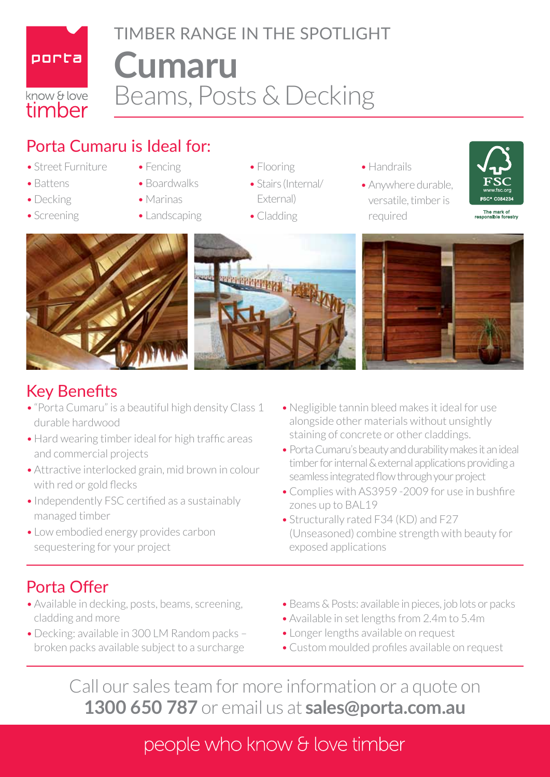

# **Cumaru** Beams, Posts & Decking TIMBER RANGE IN THE SPOTLIGHT

## Porta Cumaru is Ideal for:

- Street Furniture
- Battens
- Decking
- Screening
- Fencing
- Boardwalks
- • Marinas
- Landscaping
- Flooring
- Stairs (Internal/ External)
- Cladding
- Handrails
- Anywhere durable, versatile, timber is required









### Key Benefits

- "Porta Cumaru" is a beautiful high density Class 1 durable hardwood
- Hard wearing timber ideal for high traffic areas and commercial projects
- Attractive interlocked grain, mid brown in colour with red or gold flecks
- Independently FSC certified as a sustainably managed timber
- Low embodied energy provides carbon sequestering for your project
- • Negligible tannin bleed makes it ideal for use alongside other materials without unsightly staining of concrete or other claddings.
- Porta Cumaru's beauty and durability makes it an ideal timber for internal & external applications providing a seamless integrated flow through your project
- Complies with AS3959 -2009 for use in bushfire zones up to BAL19
- Structurally rated F34 (KD) and F27 (Unseasoned) combine strength with beauty for exposed applications

# Porta Offer

- Available in decking, posts, beams, screening, cladding and more
- Decking: available in 300 LM Random packs broken packs available subject to a surcharge
- Beams & Posts: available in pieces, job lots or packs
- Available in set lengths from 2.4m to 5.4m
- Longer lengths available on request
- Custom moulded profiles available on request

Call our sales team for more information or a quote on **1300 650 787** or email us at **sales@porta.com.au**

## people who know & love timber